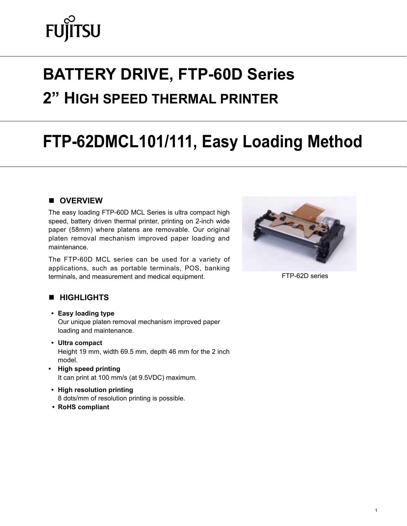# **FUJITSU**

# **battery drive, FTP-60D Series 2" high speed thermal printer**

# **FTP-62DMCL101/111, Easy Loading Method**

#### **n** OVERVIEW

The easy loading FTP-60D MCL Series is ultra compact high speed, battery driven thermal printer, printing on 2-inch wide paper (58mm) where platens are removable. Our original platen removal mechanism improved paper loading and maintenance.

The FTP-60D MCL series can be used for a variety of applications, such as portable terminals, POS, banking terminals, and measurement and medical equipment.



FTP-62D series

#### **N** HIGHLIGHTS

- **• Easy loading type** Our unique platen removal mechanism improved paper loading and maintenance.
- **• Ultra compact** Height 19 mm, width 69.5 mm, depth 46 mm for the 2 inch model.
- **• High speed printing** It can print at 100 mm/s (at 9.5VDC) maximum.
- **• High resolution printing** 8 dots/mm of resolution printing is possible.
- **• RoHS compliant**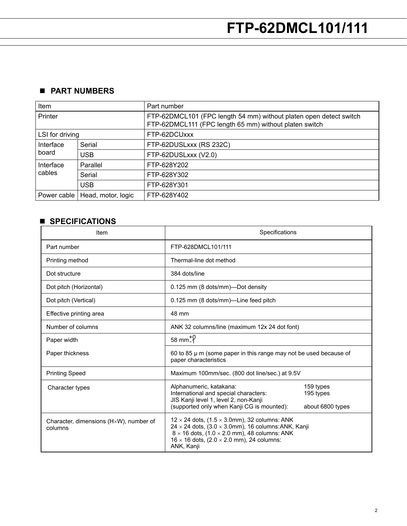# n **Part numbers**

| Item                |                    | Part number                                                                                                                  |
|---------------------|--------------------|------------------------------------------------------------------------------------------------------------------------------|
| Printer             |                    | FTP-62DMCL101 (FPC length 54 mm) without platen open detect switch<br>FTP-62DMCL111 (FPC length 65 mm) without platen switch |
| LSI for driving     |                    | FTP-62DCUxxx                                                                                                                 |
| Interface<br>board  | Serial             | FTP-62DUSLxxx (RS 232C)                                                                                                      |
|                     | <b>USB</b>         | FTP-62DUSLxxx (V2.0)                                                                                                         |
| Interface<br>cables | Parallel           | FTP-628Y202                                                                                                                  |
|                     | Serial             | FTP-628Y302                                                                                                                  |
|                     | <b>USB</b>         | FTP-628Y301                                                                                                                  |
| Power cable         | Head, motor, logic | FTP-628Y402                                                                                                                  |

# **n** SPECIFICATIONS

| Item                                              | Specifications                                                                                                                                                                                                                                                         |                                            |  |
|---------------------------------------------------|------------------------------------------------------------------------------------------------------------------------------------------------------------------------------------------------------------------------------------------------------------------------|--------------------------------------------|--|
| Part number                                       | FTP-628DMCL101/111                                                                                                                                                                                                                                                     |                                            |  |
| Printing method                                   | Thermal-line dot method                                                                                                                                                                                                                                                |                                            |  |
| Dot structure                                     | 384 dots/line                                                                                                                                                                                                                                                          |                                            |  |
| Dot pitch (Horizontal)                            | 0.125 mm (8 dots/mm)—Dot density                                                                                                                                                                                                                                       |                                            |  |
| Dot pitch (Vertical)                              | 0.125 mm (8 dots/mm)—Line feed pitch                                                                                                                                                                                                                                   |                                            |  |
| Effective printing area                           | 48 mm                                                                                                                                                                                                                                                                  |                                            |  |
| Number of columns                                 | ANK 32 columns/line (maximum 12x 24 dot font)                                                                                                                                                                                                                          |                                            |  |
| Paper width                                       | $58 \text{ mm}^{+0}$                                                                                                                                                                                                                                                   |                                            |  |
| Paper thickness                                   | 60 to 85 $\mu$ m (some paper in this range may not be used because of<br>paper characteristics                                                                                                                                                                         |                                            |  |
| <b>Printing Speed</b>                             | Maximum 100mm/sec. (800 dot line/sec.) at 9.5V                                                                                                                                                                                                                         |                                            |  |
| Character types                                   | Alphanumeric, katakana:<br>International and special characters:<br>JIS Kanji level 1, level 2, non-Kanji<br>(supported only when Kanji CG is mounted):                                                                                                                | 159 types<br>195 types<br>about 6800 types |  |
| Character, dimensions (HxW), number of<br>columns | $12 \times 24$ dots, (1.5 $\times$ 3.0mm), 32 columns: ANK<br>24 $\times$ 24 dots, (3.0 $\times$ 3.0mm), 16 columns: ANK, Kanji<br>$8 \times 16$ dots, (1.0 $\times$ 2.0 mm), 48 columns: ANK<br>$16 \times 16$ dots, (2.0 $\times$ 2.0 mm), 24 columns:<br>ANK, Kanji |                                            |  |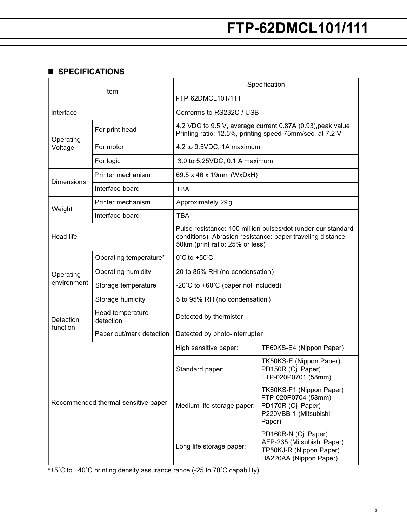#### **n** SPECIFICATIONS

| Item                                |                               | Specification                                                                                                                                                 |                                                                                                          |  |  |  |
|-------------------------------------|-------------------------------|---------------------------------------------------------------------------------------------------------------------------------------------------------------|----------------------------------------------------------------------------------------------------------|--|--|--|
|                                     |                               | FTP-62DMCL101/111                                                                                                                                             |                                                                                                          |  |  |  |
| Interface                           |                               | Conforms to RS232C / USB                                                                                                                                      |                                                                                                          |  |  |  |
| Operating<br>Voltage                | For print head                | 4.2 VDC to 9.5 V, average current 0.87A (0.93), peak value<br>Printing ratio: 12.5%, printing speed 75mm/sec. at 7.2 V                                        |                                                                                                          |  |  |  |
|                                     | For motor                     | 4.2 to 9.5VDC, 1A maximum                                                                                                                                     |                                                                                                          |  |  |  |
|                                     | For logic                     | 3.0 to 5.25VDC, 0.1 A maximum                                                                                                                                 |                                                                                                          |  |  |  |
|                                     | Printer mechanism             | 69.5 x 46 x 19mm (WxDxH)                                                                                                                                      |                                                                                                          |  |  |  |
| Dimensions                          | Interface board               | <b>TBA</b>                                                                                                                                                    |                                                                                                          |  |  |  |
|                                     | Printer mechanism             | Approximately 29g                                                                                                                                             |                                                                                                          |  |  |  |
| Weight                              | Interface board               | <b>TBA</b>                                                                                                                                                    |                                                                                                          |  |  |  |
| Head life                           |                               | Pulse resistance: 100 million pulses/dot (under our standard<br>conditions). Abrasion resistance: paper traveling distance<br>50km (print ratio: 25% or less) |                                                                                                          |  |  |  |
|                                     | Operating temperature*        | 0°C to +50°C                                                                                                                                                  |                                                                                                          |  |  |  |
| Operating                           | Operating humidity            | 20 to 85% RH (no condensation)                                                                                                                                |                                                                                                          |  |  |  |
| environment                         | Storage temperature           | -20°C to +60°C (paper not included)                                                                                                                           |                                                                                                          |  |  |  |
|                                     | Storage humidity              | 5 to 95% RH (no condensation)                                                                                                                                 |                                                                                                          |  |  |  |
| Detection<br>function               | Head temperature<br>detection | Detected by thermistor                                                                                                                                        |                                                                                                          |  |  |  |
|                                     | Paper out/mark detection      | Detected by photo-interrupter                                                                                                                                 |                                                                                                          |  |  |  |
| Recommended thermal sensitive paper |                               | High sensitive paper:                                                                                                                                         | TF60KS-E4 (Nippon Paper)                                                                                 |  |  |  |
|                                     |                               | Standard paper:                                                                                                                                               | TK50KS-E (Nippon Paper)<br>PD150R (Oji Paper)<br>FTP-020P0701 (58mm)                                     |  |  |  |
|                                     |                               | Medium life storage paper:                                                                                                                                    | TK60KS-F1 (Nippon Paper)<br>FTP-020P0704 (58mm)<br>PD170R (Oji Paper)<br>P220VBB-1 (Mitsubishi<br>Paper) |  |  |  |
|                                     |                               | Long life storage paper:                                                                                                                                      | PD160R-N (Oji Paper)<br>AFP-235 (Mitsubishi Paper)<br>TP50KJ-R (Nippon Paper)<br>HA220AA (Nippon Paper)  |  |  |  |

\*+5˚C to +40˚C printing density assurance rance (-25 to 70˚C capability)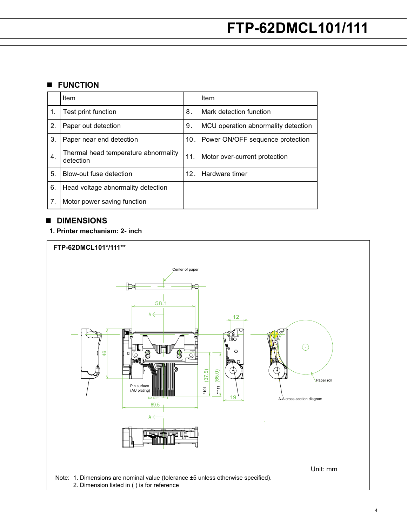#### **n** FUNCTION

|    | Item                                              |                 | Item                                |
|----|---------------------------------------------------|-----------------|-------------------------------------|
| 1. | Test print function                               | 8.              | Mark detection function             |
| 2. | Paper out detection                               | 9.              | MCU operation abnormality detection |
| 3. | Paper near end detection                          | 10 <sub>1</sub> | Power ON/OFF sequence protection    |
| 4. | Thermal head temperature abnormality<br>detection | 11.             | Motor over-current protection       |
| 5. | Blow-out fuse detection                           | 12 <sub>1</sub> | Hardware timer                      |
| 6. | Head voltage abnormality detection                |                 |                                     |
| 7. | Motor power saving function                       |                 |                                     |

### $\blacksquare$  DIMENSIONS

#### **1. Printer mechanism: 2- inch**

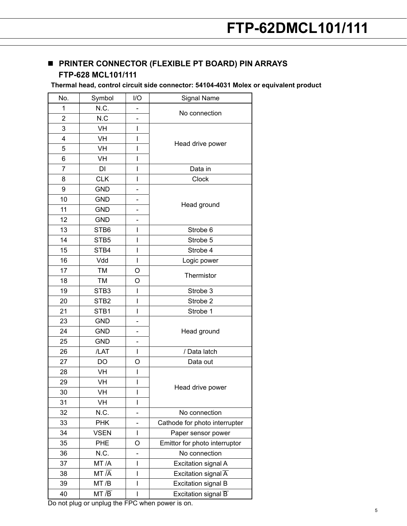# **n** PRINTER CONNECTOR (FLEXIBLE PT BOARD) PIN ARRAYS **FTP-628 MCL101/111**

**Thermal head, control circuit side connector: 54104-4031 Molex or equivalent product**

| No. | Symbol             | I/O                      | Signal Name                      |  |
|-----|--------------------|--------------------------|----------------------------------|--|
| 1   | N.C.               |                          | No connection                    |  |
| 2   | N.C                |                          |                                  |  |
| 3   | <b>VH</b>          | Ī                        |                                  |  |
| 4   | VH                 | I                        |                                  |  |
| 5   | VH                 | I                        | Head drive power                 |  |
| 6   | VH                 | I                        |                                  |  |
| 7   | DI                 | I                        | Data in                          |  |
| 8   | <b>CLK</b>         | I                        | Clock                            |  |
| 9   | <b>GND</b>         | -                        |                                  |  |
| 10  | <b>GND</b>         |                          |                                  |  |
| 11  | <b>GND</b>         | -                        | Head ground                      |  |
| 12  | <b>GND</b>         |                          |                                  |  |
| 13  | STB6               | I                        | Strobe 6                         |  |
| 14  | STB5               | I                        | Strobe 5                         |  |
| 15  | STB4               | I                        | Strobe 4                         |  |
| 16  | Vdd                | $\overline{\phantom{a}}$ | Logic power                      |  |
| 17  | <b>TM</b>          | O                        |                                  |  |
| 18  | TM                 | O                        | Thermistor                       |  |
| 19  | STB <sub>3</sub>   | I                        | Strobe 3                         |  |
| 20  | STB <sub>2</sub>   | I                        | Strobe 2                         |  |
| 21  | STB1               | I                        | Strobe 1                         |  |
| 23  | <b>GND</b>         |                          |                                  |  |
| 24  | <b>GND</b>         | -                        | Head ground                      |  |
| 25  | <b>GND</b>         | -                        |                                  |  |
| 26  | /LAT               | T                        | / Data latch                     |  |
| 27  | DO                 | O                        | Data out                         |  |
| 28  | VH                 | I                        |                                  |  |
| 29  | VH                 | I                        |                                  |  |
| 30  | VH                 | I                        | Head drive power                 |  |
| 31  | VH                 | I                        |                                  |  |
| 32  | N.C.               |                          | No connection                    |  |
| 33  | <b>PHK</b>         |                          | Cathode for photo interrupter    |  |
| 34  | <b>VSEN</b>        | I                        | Paper sensor power               |  |
| 35  | PHE                | O                        | Emittor for photo interruptor    |  |
| 36  | N.C.               |                          | No connection                    |  |
| 37  | MT/A               | I                        | Excitation signal A              |  |
| 38  | $MT\overline{A}$   | I                        | Excitation signal $\overline{A}$ |  |
| 39  | MT/B               | I                        | <b>Excitation signal B</b>       |  |
| 40  | $MT \overline{/B}$ | I                        | Excitation signal $\overline{B}$ |  |

Do not plug or unplug the FPC when power is on.